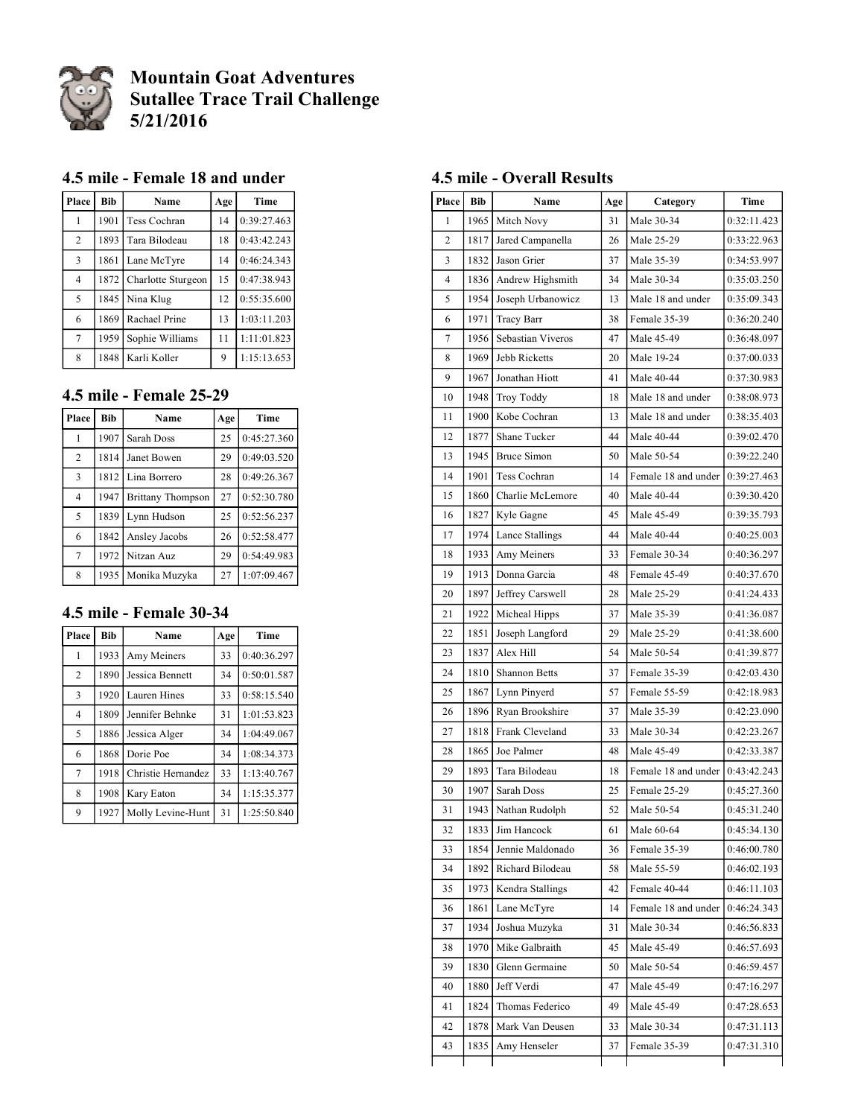

# **Mountain Goat Adventures Sutallee Trace Trail Challenge 5/21/2016**

#### **4.5 mile - Female 18 and under**

| Place          | <b>Bib</b> | Name               | Age | Time        |
|----------------|------------|--------------------|-----|-------------|
| 1              | 1901       | Tess Cochran       | 14  | 0:39:27.463 |
| $\overline{2}$ | 1893       | Tara Bilodeau      | 18  | 0:43:42.243 |
| $\overline{3}$ | 1861       | Lane McTyre        | 14  | 0:46:24.343 |
| $\overline{4}$ | 1872       | Charlotte Sturgeon | 15  | 0:47:38.943 |
| 5              | 1845       | Nina Klug          | 12  | 0:55:35.600 |
| 6              | 1869       | Rachael Prine      | 13  | 1:03:11.203 |
| $\tau$         | 1959       | Sophie Williams    | 11  | 1:11:01.823 |
| 8              | 1848       | Karli Koller       | 9   | 1:15:13.653 |

#### **4.5 mile - Female 25-29**

| Place          | <b>Bib</b> | Name                     | Age | Time        |
|----------------|------------|--------------------------|-----|-------------|
| 1              | 1907       | Sarah Doss               | 25  | 0:45:27.360 |
| $\overline{2}$ | 1814       | Janet Bowen              | 29  | 0:49:03.520 |
| $\overline{3}$ | 1812       | Lina Borrero             | 28  | 0:49:26.367 |
| $\overline{4}$ | 1947       | <b>Brittany Thompson</b> | 27  | 0:52:30.780 |
| 5              | 1839       | Lynn Hudson              | 25  | 0:52:56.237 |
| 6              | 1842       | Ansley Jacobs            | 26  | 0:52:58.477 |
| $\tau$         | 1972       | Nitzan Auz               | 29  | 0:54:49.983 |
| 8              | 1935       | Monika Muzyka            | 27  | 1:07:09.467 |

#### **4.5 mile - Female 30-34**

| Place          | <b>Bib</b> | Name               | Age | Time        |
|----------------|------------|--------------------|-----|-------------|
| 1              | 1933       | Amy Meiners        | 33  | 0:40:36.297 |
| $\overline{2}$ | 1890       | Jessica Bennett    | 34  | 0:50:01.587 |
| 3              | 1920       | Lauren Hines       | 33  | 0:58:15.540 |
| 4              | 1809       | Jennifer Behnke    | 31  | 1:01:53.823 |
| 5              | 1886       | Jessica Alger      | 34  | 1:04:49.067 |
| 6              | 1868       | Dorie Poe          | 34  | 1:08:34.373 |
| 7              | 1918       | Christie Hernandez | 33  | 1:13:40.767 |
| 8              | 1908       | Kary Eaton         | 34  | 1:15:35.377 |
| 9              | 1927       | Molly Levine-Hunt  | 31  | 1:25:50.840 |

### **4.5 mile - Overall Results**

| Place          | Bib  | Name               | Age | Category            | Time        |
|----------------|------|--------------------|-----|---------------------|-------------|
| 1              | 1965 | Mitch Novy         | 31  | Male 30-34          | 0:32:11.423 |
| 2              | 1817 | Jared Campanella   | 26  | Male 25-29          | 0:33:22.963 |
| 3              | 1832 | Jason Grier        | 37  | Male 35-39          | 0:34:53.997 |
| $\overline{4}$ | 1836 | Andrew Highsmith   | 34  | Male 30-34          | 0:35:03.250 |
| 5              | 1954 | Joseph Urbanowicz  | 13  | Male 18 and under   | 0:35:09.343 |
| 6              | 1971 | Tracy Barr         | 38  | Female 35-39        | 0:36:20.240 |
| 7              | 1956 | Sebastian Viveros  | 47  | Male 45-49          | 0:36:48.097 |
| 8              | 1969 | Jebb Ricketts      | 20  | Male 19-24          | 0:37:00.033 |
| 9              | 1967 | Jonathan Hiott     | 41  | Male 40-44          | 0:37:30.983 |
| 10             | 1948 | Troy Toddy         | 18  | Male 18 and under   | 0:38:08.973 |
| 11             | 1900 | Kobe Cochran       | 13  | Male 18 and under   | 0:38:35.403 |
| 12             | 1877 | Shane Tucker       | 44  | Male 40-44          | 0:39:02.470 |
| 13             | 1945 | <b>Bruce Simon</b> | 50  | Male 50-54          | 0:39:22.240 |
| 14             | 1901 | Tess Cochran       | 14  | Female 18 and under | 0:39:27.463 |
| 15             | 1860 | Charlie McLemore   | 40  | Male 40-44          | 0:39:30.420 |
| 16             | 1827 | Kyle Gagne         | 45  | Male 45-49          | 0:39:35.793 |
| 17             | 1974 | Lance Stallings    | 44  | Male 40-44          | 0:40:25.003 |
| 18             | 1933 | Amy Meiners        | 33  | Female 30-34        | 0:40:36.297 |
| 19             | 1913 | Donna Garcia       | 48  | Female 45-49        | 0:40:37.670 |
| 20             | 1897 | Jeffrey Carswell   | 28  | Male 25-29          | 0:41:24.433 |
| 21             | 1922 | Micheal Hipps      | 37  | Male 35-39          | 0:41:36.087 |
| 22             | 1851 | Joseph Langford    | 29  | Male 25-29          | 0:41:38.600 |
| 23             | 1837 | Alex Hill          | 54  | Male 50-54          | 0:41:39.877 |
| 24             | 1810 | Shannon Betts      | 37  | Female 35-39        | 0:42:03.430 |
| 25             | 1867 | Lynn Pinyerd       | 57  | Female 55-59        | 0:42:18.983 |
| 26             | 1896 | Ryan Brookshire    | 37  | Male 35-39          | 0:42:23.090 |
| 27             | 1818 | Frank Cleveland    | 33  | Male 30-34          | 0:42:23.267 |
| 28             | 1865 | Joe Palmer         | 48  | Male 45-49          | 0:42:33.387 |
| 29             | 1893 | Tara Bilodeau      | 18  | Female 18 and under | 0:43:42.243 |
| 30             | 1907 | Sarah Doss         | 25  | Female 25-29        | 0:45:27.360 |
| 31             | 1943 | Nathan Rudolph     | 52  | Male 50-54          | 0:45:31.240 |
| 32             | 1833 | Jim Hancock        | 61  | Male 60-64          | 0:45:34.130 |
| 33             | 1854 | Jennie Maldonado   | 36  | Female 35-39        | 0:46:00.780 |
| 34             | 1892 | Richard Bilodeau   | 58  | Male 55-59          | 0:46:02.193 |
| 35             | 1973 | Kendra Stallings   | 42  | Female 40-44        | 0:46:11.103 |
| 36             | 1861 | Lane McTyre        | 14  | Female 18 and under | 0:46:24.343 |
| 37             | 1934 | Joshua Muzyka      | 31  | Male 30-34          | 0:46:56.833 |
| 38             | 1970 | Mike Galbraith     | 45  | Male 45-49          | 0:46:57.693 |
| 39             | 1830 | Glenn Germaine     | 50  | Male 50-54          | 0:46:59.457 |
| 40             | 1880 | Jeff Verdi         | 47  | Male 45-49          | 0:47:16.297 |
| 41             | 1824 | Thomas Federico    | 49  | Male 45-49          | 0:47:28.653 |
| 42             | 1878 | Mark Van Deusen    | 33  | Male 30-34          | 0:47:31.113 |
| 43             | 1835 | Amy Henseler       | 37  | Female 35-39        | 0:47:31.310 |
|                |      |                    |     |                     |             |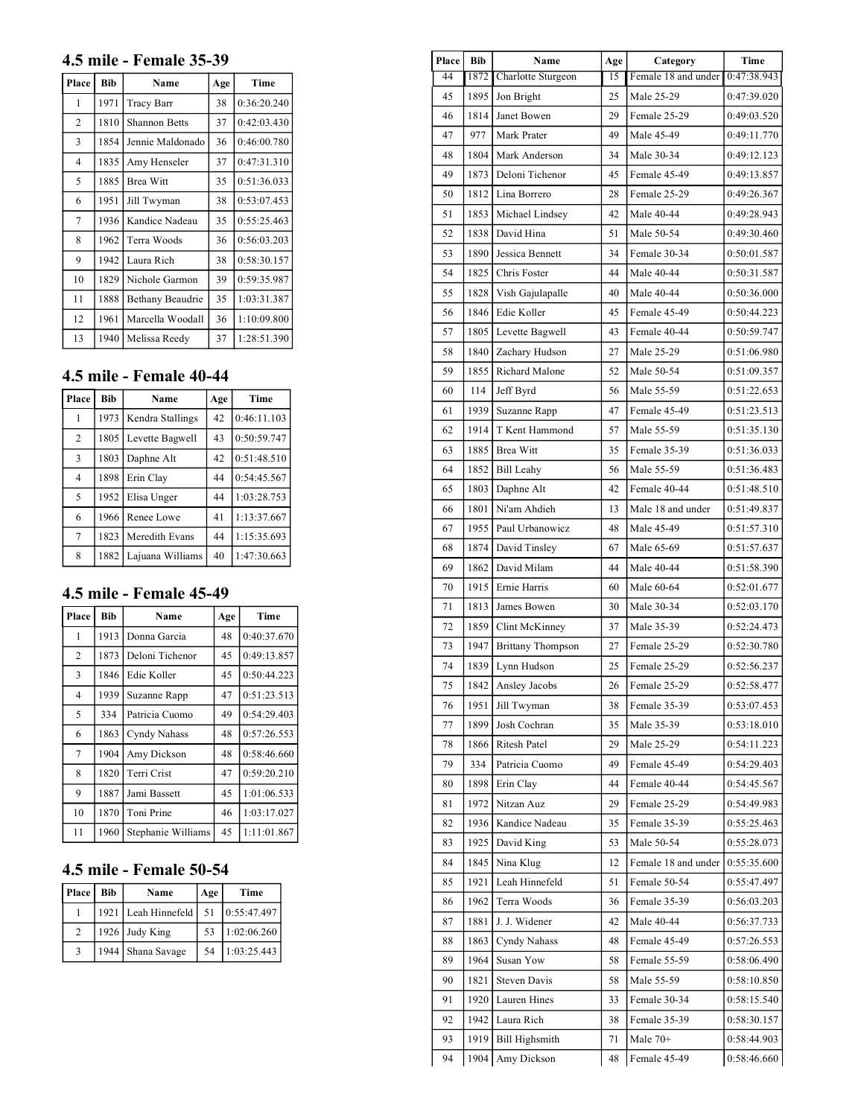#### **4.5 mile - Female 35-39**

| Place          | <b>Bib</b> | Name                 | Age | Time        |
|----------------|------------|----------------------|-----|-------------|
| 1              | 1971       | Tracy Barr           | 38  | 0:36:20.240 |
| $\overline{2}$ | 1810       | <b>Shannon Betts</b> | 37  | 0:42:03.430 |
| 3              | 1854       | Jennie Maldonado     | 36  | 0:46:00.780 |
| $\overline{4}$ | 1835       | Amy Henseler         | 37  | 0:47:31.310 |
| 5              | 1885       | <b>Brea Witt</b>     | 35  | 0:51:36.033 |
| 6              | 1951       | Jill Twyman          | 38  | 0:53:07.453 |
| 7              | 1936       | Kandice Nadeau       | 35  | 0:55:25.463 |
| 8              | 1962       | Terra Woods          | 36  | 0:56:03.203 |
| 9              | 1942       | Laura Rich           | 38  | 0:58:30.157 |
| 10             | 1829       | Nichole Garmon       | 39  | 0:59:35.987 |
| 11             | 1888       | Bethany Beaudrie     | 35  | 1:03:31.387 |
| 12             | 1961       | Marcella Woodall     | 36  | 1:10:09.800 |
| 13             | 1940       | Melissa Reedy        | 37  | 1:28:51.390 |

# **4.5 mile - Female 40-44**

| Place          | <b>Bib</b> | Name             | Age | Time        |
|----------------|------------|------------------|-----|-------------|
| 1              | 1973       | Kendra Stallings | 42  | 0:46:11.103 |
| $\overline{2}$ | 1805       | Levette Bagwell  | 43  | 0:50:59.747 |
| $\overline{3}$ | 1803       | Daphne Alt       | 42  | 0:51:48.510 |
| $\overline{4}$ | 1898       | Erin Clay        | 44  | 0:54:45.567 |
| 5              | 1952       | Elisa Unger      | 44  | 1:03:28.753 |
| 6              | 1966       | Renee Lowe       | 41  | 1:13:37.667 |
| $\tau$         | 1823       | Meredith Evans   | 44  | 1:15:35.693 |
| 8              | 1882       | Lajuana Williams | 40  | 1:47:30.663 |

### **4.5 mile - Female 45-49**

| Place          | <b>Bib</b> | Name               | Age | Time        |
|----------------|------------|--------------------|-----|-------------|
| 1              | 1913       | Donna Garcia       | 48  | 0:40:37.670 |
| $\overline{c}$ | 1873       | Deloni Tichenor    | 45  | 0:49:13.857 |
| 3              | 1846       | Edie Koller        | 45  | 0:50:44.223 |
| $\overline{4}$ | 1939       | Suzanne Rapp       | 47  | 0:51:23.513 |
| 5              | 334        | Patricia Cuomo     | 49  | 0:54:29.403 |
| 6              | 1863       | Cyndy Nahass       | 48  | 0:57:26.553 |
| 7              | 1904       | Amy Dickson        | 48  | 0:58:46.660 |
| 8              | 1820       | Terri Crist        | 47  | 0:59:20.210 |
| 9              | 1887       | Jami Bassett       | 45  | 1:01:06.533 |
| 10             | 1870       | Toni Prine         | 46  | 1:03:17.027 |
| 11             | 1960       | Stephanie Williams | 45  | 1:11:01.867 |

## **4.5 mile - Female 50-54**

| Place         | Bib | Name                  | Age | Time        |
|---------------|-----|-----------------------|-----|-------------|
|               |     | 1921   Leah Hinnefeld | 51  | 0:55:47.497 |
| 2             |     | 1926 Judy King        | 53  | 1:02:06.260 |
| $\mathcal{R}$ |     | 1944   Shana Savage   | 54  | 1:03:25.443 |

| Place    | <b>Bib</b> | Name                   | Age             | Category                         | Time        |
|----------|------------|------------------------|-----------------|----------------------------------|-------------|
| 44       | 1872       | Charlotte Sturgeon     | $\overline{15}$ | Female 18 and under 10:47:38.943 |             |
| 45       | 1895       | Jon Bright             | 25              | Male 25-29                       | 0:47:39.020 |
| 46       | 1814       | Janet Bowen            | 29              | Female 25-29                     | 0:49:03.520 |
| 47       | 977        | Mark Prater            | 49              | Male 45-49                       | 0:49:11.770 |
| 48       |            | 1804 Mark Anderson     | 34              | Male 30-34                       | 0:49:12.123 |
| 49       | 1873       | Deloni Tichenor        | 45              | Female 45-49                     | 0:49:13.857 |
| 50       |            | 1812 Lina Borrero      | 28              | Female 25-29                     | 0:49:26.367 |
| 51       |            | 1853   Michael Lindsey | 42              | Male 40-44                       | 0:49:28.943 |
| 52       | 1838       | David Hina             | 51              | Male 50-54                       | 0:49:30.460 |
| 53       | 1890       | Jessica Bennett        | 34              | Female 30-34                     | 0:50:01.587 |
| 54       | 1825       | Chris Foster           | 44              | Male 40-44                       | 0:50:31.587 |
| 55       | 1828       | Vish Gajulapalle       | 40              | Male 40-44                       | 0:50:36.000 |
| 56       | 1846       | Edie Koller            | 45              | Female 45-49                     | 0:50:44.223 |
| 57       | 1805       | Levette Bagwell        | 43              | Female 40-44                     | 0:50:59.747 |
| 58       | 1840       | Zachary Hudson         | 27              | Male 25-29                       | 0:51:06.980 |
| 59       | 1855       | Richard Malone         | 52              | Male 50-54                       | 0:51:09.357 |
| 60       | 114        | Jeff Byrd              | 56              | Male 55-59                       | 0:51:22.653 |
| 61       | 1939       | Suzanne Rapp           | 47              | Female 45-49                     | 0:51:23.513 |
| 62       | 1914       | T Kent Hammond         | 57              | Male 55-59                       | 0:51:35.130 |
| 63       |            | 1885 Brea Witt         | 35              | Female 35-39                     | 0:51:36.033 |
| 64       | 1852       | <b>Bill Leahy</b>      | 56              | Male 55-59                       | 0:51:36.483 |
| 65       | 1803       | Daphne Alt             | 42              | Female 40-44                     | 0:51:48.510 |
| 66       |            | 1801 Ni'am Ahdieh      | 13              | Male 18 and under                | 0:51:49.837 |
| 67       | 1955       | Paul Urbanowicz        | 48              | Male 45-49                       | 0:51:57.310 |
| 68       | 1874       | David Tinsley          | 67              | Male 65-69                       | 0:51:57.637 |
| 69       |            | 1862   David Milam     | 44              | Male 40-44                       | 0:51:58.390 |
| 70       | 1915       | Ernie Harris           | 60              | Male 60-64                       | 0:52:01.677 |
| 71       | 1813       | James Bowen            | 30              | Male 30-34                       | 0:52:03.170 |
| 72       | 1859       | Clint McKinney         | 37              | Male 35-39                       | 0:52:24.473 |
| 73       |            | 1947 Brittany Thompson | 27              | Female 25-29                     | 0:52:30.780 |
| 74       |            | 1839 Lynn Hudson       | 25              | Female 25-29                     | 0:52:56.237 |
| 75       |            | 1842 Ansley Jacobs     | 26              | Female 25-29                     | 0:52:58.477 |
| 76       |            | 1951 Jill Twyman       | 38              | Female 35-39                     | 0:53:07.453 |
| 77       | 1899       | Josh Cochran           | 35              | Male 35-39                       | 0:53:18.010 |
| 78       |            | 1866 Ritesh Patel      | 29              | Male 25-29                       | 0:54:11.223 |
| 79       | 334        | Patricia Cuomo         | 49              | Female 45-49                     | 0:54:29.403 |
| 80       | 1898       | Erin Clay              | 44              | Female 40-44                     | 0:54:45.567 |
| 81       | 1972       | Nitzan Auz             | 29              | Female 25-29                     | 0:54:49.983 |
|          |            | 1936   Kandice Nadeau  | 35              | Female 35-39                     | 0:55:25.463 |
| 82<br>83 |            | 1925 David King        | 53              | Male 50-54                       | 0:55:28.073 |
|          |            |                        |                 |                                  |             |
| 84       |            | 1845 Nina Klug         | 12              | Female 18 and under              | 0:55:35.600 |
| 85       | 1921       | Leah Hinnefeld         | 51              | Female 50-54                     | 0:55:47.497 |
| 86       | 1962       | Terra Woods            | 36              | Female 35-39                     | 0:56:03.203 |
| 87       | 1881       | J. J. Widener          | 42              | Male 40-44                       | 0:56:37.733 |
| 88       | 1863       | Cyndy Nahass           | 48              | Female 45-49                     | 0:57:26.553 |
| 89       | 1964       | Susan Yow              | 58              | Female 55-59                     | 0:58:06.490 |
| 90       | 1821       | Steven Davis           | 58              | Male 55-59                       | 0:58:10.850 |
| 91       |            | 1920   Lauren Hines    | 33              | Female 30-34                     | 0:58:15.540 |
|          |            | 1942 Laura Rich        | 38              | Female 35-39                     | 0:58:30.157 |
| 92<br>93 |            | 1919   Bill Highsmith  | 71              | Male $70+$                       | 0:58:44.903 |

 $\overline{\phantom{a}}$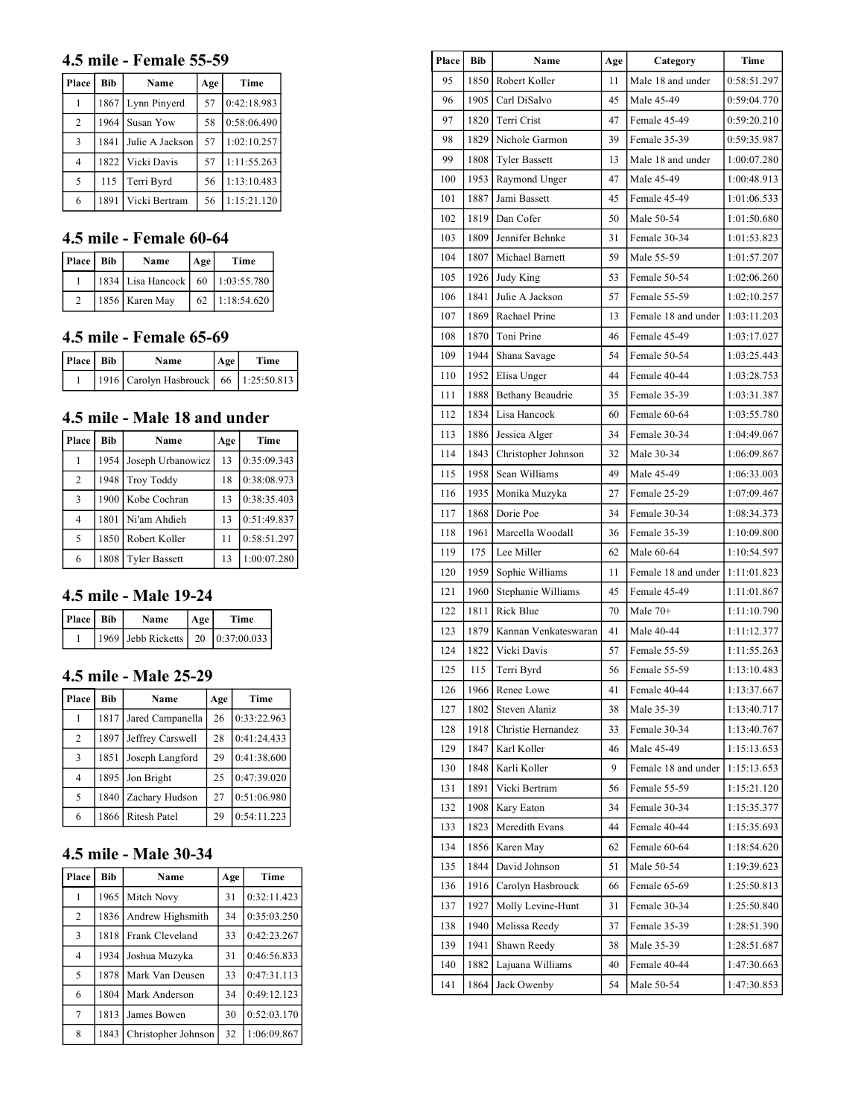### **4.5 mile - Female 55-59**

| Place          | <b>Bib</b> | Name            | Age | Time        |
|----------------|------------|-----------------|-----|-------------|
|                | 1867       | Lynn Pinyerd    | 57  | 0:42:18.983 |
| $\overline{c}$ | 1964       | Susan Yow       | 58  | 0:58:06.490 |
| 3              | 1841       | Julie A Jackson | 57  | 1:02:10.257 |
| 4              | 1822       | Vicki Davis     | 57  | 1:11:55.263 |
| 5              | 115        | Terri Byrd      | 56  | 1:13:10.483 |
| 6              | 1891       | Vicki Bertram   | 56  | 1:15:21.120 |

### **4.5 mile - Female 60-64**

| Place   Bib | Name                                   | Age | Time        |
|-------------|----------------------------------------|-----|-------------|
|             | 1834   Lisa Hancock   60   1:03:55.780 |     |             |
|             | 1856 Karen May                         | 62  | 1:18:54.620 |

#### **4.5 mile - Female 65-69**

| Place   Bib | Name                                        | Age | Time |
|-------------|---------------------------------------------|-----|------|
|             | 1916   Carolyn Hasbrouck   66   1:25:50.813 |     |      |

## **4.5 mile - Male 18 and under**

| Place          | <b>Bib</b> | Name                 | Age | Time        |
|----------------|------------|----------------------|-----|-------------|
|                | 1954 l     | Joseph Urbanowicz    | 13  | 0:35:09.343 |
| 2              | 1948       | <b>Troy Toddy</b>    | 18  | 0:38:08.973 |
| 3              |            | 1900   Kobe Cochran  | 13  | 0:38:35.403 |
| $\overline{4}$ | 1801       | Ni'am Ahdieh         | 13  | 0:51:49.837 |
| 5              | 1850       | Robert Koller        | 11  | 0:58:51.297 |
| 6              | 1808       | <b>Tyler Bassett</b> | 13  | 1:00:07.280 |

## **4.5 mile - Male 19-24**

| Place   Bib | Name                                | Age | Time |
|-------------|-------------------------------------|-----|------|
|             | 1969 Jebb Ricketts   20 0:37:00.033 |     |      |

#### **4.5 mile - Male 25-29**

| Place          | <b>Bib</b> | Name             | Age | Time        |
|----------------|------------|------------------|-----|-------------|
|                | 1817       | Jared Campanella | 26  | 0:33:22.963 |
| 2              | 1897       | Jeffrey Carswell | 28  | 0:41:24.433 |
| 3              | 1851       | Joseph Langford  | 29  | 0:41:38.600 |
| $\overline{4}$ | 1895       | Jon Bright       | 25  | 0:47:39.020 |
| $\overline{5}$ | 1840       | Zachary Hudson   | 27  | 0:51:06.980 |
| 6              | 1866       | Ritesh Patel     | 29  | 0:54:11.223 |

## **4.5 mile - Male 30-34**

| Place          | <b>Bib</b> | Name                | Age | Time        |
|----------------|------------|---------------------|-----|-------------|
| 1              | 1965       | Mitch Novy          | 31  | 0:32:11.423 |
| $\overline{2}$ | 1836       | Andrew Highsmith    | 34  | 0:35:03.250 |
| 3              | 1818       | Frank Cleveland     | 33  | 0:42:23.267 |
| 4              | 1934       | Joshua Muzyka       | 31  | 0:46:56.833 |
| 5              | 1878       | Mark Van Deusen     | 33  | 0:47:31.113 |
| 6              | 1804       | Mark Anderson       | 34  | 0:49:12.123 |
| 7              | 1813       | James Bowen         | 30  | 0:52:03.170 |
| 8              | 1843       | Christopher Johnson | 32  | 1:06:09.867 |

| <b>Place</b> | Bib  | Name                 | Age | Category            | Time        |
|--------------|------|----------------------|-----|---------------------|-------------|
| 95           | 1850 | Robert Koller        | 11  | Male 18 and under   | 0:58:51.297 |
| 96           | 1905 | Carl DiSalvo         | 45  | Male 45-49          | 0:59:04.770 |
| 97           | 1820 | Terri Crist          | 47  | Female 45-49        | 0:59:20.210 |
| 98           | 1829 | Nichole Garmon       | 39  | Female 35-39        | 0:59:35.987 |
| 99           | 1808 | <b>Tyler Bassett</b> | 13  | Male 18 and under   | 1:00:07.280 |
| 100          | 1953 | Raymond Unger        | 47  | Male 45-49          | 1:00:48.913 |
| 101          | 1887 | Jami Bassett         | 45  | Female 45-49        | 1:01:06.533 |
| 102          | 1819 | Dan Cofer            | 50  | Male 50-54          | 1:01:50.680 |
| 103          | 1809 | Jennifer Behnke      | 31  | Female 30-34        | 1:01:53.823 |
| 104          | 1807 | Michael Barnett      | 59  | Male 55-59          | 1:01:57.207 |
| 105          | 1926 | Judy King            | 53  | Female 50-54        | 1:02:06.260 |
| 106          | 1841 | Julie A Jackson      | 57  | Female 55-59        | 1:02:10.257 |
| 107          | 1869 | Rachael Prine        | 13  | Female 18 and under | 1:03:11.203 |
| 108          | 1870 | Toni Prine           | 46  | Female 45-49        | 1:03:17.027 |
| 109          | 1944 | Shana Savage         | 54  | Female 50-54        | 1:03:25.443 |
| 110          | 1952 | Elisa Unger          | 44  | Female 40-44        | 1:03:28.753 |
| 111          | 1888 | Bethany Beaudrie     | 35  | Female 35-39        | 1:03:31.387 |
| 112          | 1834 | Lisa Hancock         | 60  | Female 60-64        | 1:03:55.780 |
| 113          | 1886 | Jessica Alger        | 34  | Female 30-34        | 1:04:49.067 |
| 114          | 1843 | Christopher Johnson  | 32  | Male 30-34          | 1:06:09.867 |
| 115          | 1958 | Sean Williams        | 49  | Male 45-49          | 1:06:33.003 |
| 116          | 1935 | Monika Muzyka        | 27  | Female 25-29        | 1:07:09.467 |
| 117          | 1868 | Dorie Poe            | 34  | Female 30-34        | 1:08:34.373 |
| 118          | 1961 | Marcella Woodall     | 36  | Female 35-39        | 1:10:09.800 |
| 119          | 175  | Lee Miller           | 62  | Male 60-64          | 1:10:54.597 |
| 120          | 1959 | Sophie Williams      | 11  | Female 18 and under | 1:11:01.823 |
| 121          | 1960 | Stephanie Williams   | 45  | Female 45-49        | 1:11:01.867 |
| 122          | 1811 | Rick Blue            | 70  | Male $70+$          | 1:11:10.790 |
| 123          | 1879 | Kannan Venkateswaran | 41  | Male 40-44          | 1:11:12.377 |
| 124          | 1822 | Vicki Davis          | 57  | Female 55-59        | 1:11:55.263 |
| 125          | 115  | Terri Byrd           | 56  | Female 55-59        | 1:13:10.483 |
| 126          |      | 1966 Renee Lowe      | 41  | Female 40-44        | 1:13:37.667 |
| 127          | 1802 | Steven Alaniz        | 38  | Male 35-39          | 1:13:40.717 |
| 128          | 1918 | Christie Hernandez   | 33  | Female 30-34        | 1:13:40.767 |
| 129          | 1847 | Karl Koller          | 46  | Male 45-49          | 1:15:13.653 |
| 130          | 1848 | Karli Koller         | 9   | Female 18 and under | 1:15:13.653 |
| 131          | 1891 | Vicki Bertram        | 56  | Female 55-59        | 1:15:21.120 |
| 132          | 1908 | Kary Eaton           | 34  | Female 30-34        | 1:15:35.377 |
| 133          | 1823 | Meredith Evans       | 44  | Female 40-44        | 1:15:35.693 |
| 134          | 1856 | Karen May            | 62  | Female 60-64        | 1:18:54.620 |
| 135          | 1844 | David Johnson        | 51  | Male 50-54          | 1:19:39.623 |
| 136          | 1916 | Carolyn Hasbrouck    | 66  | Female 65-69        | 1:25:50.813 |
| 137          | 1927 | Molly Levine-Hunt    | 31  | Female 30-34        | 1:25:50.840 |
| 138          | 1940 | Melissa Reedy        | 37  | Female 35-39        | 1:28:51.390 |
| 139          | 1941 | Shawn Reedy          | 38  | Male 35-39          | 1:28:51.687 |
| 140          | 1882 | Lajuana Williams     | 40  | Female 40-44        | 1:47:30.663 |
| 141          | 1864 | Jack Owenby          | 54  | Male 50-54          | 1:47:30.853 |
|              |      |                      |     |                     |             |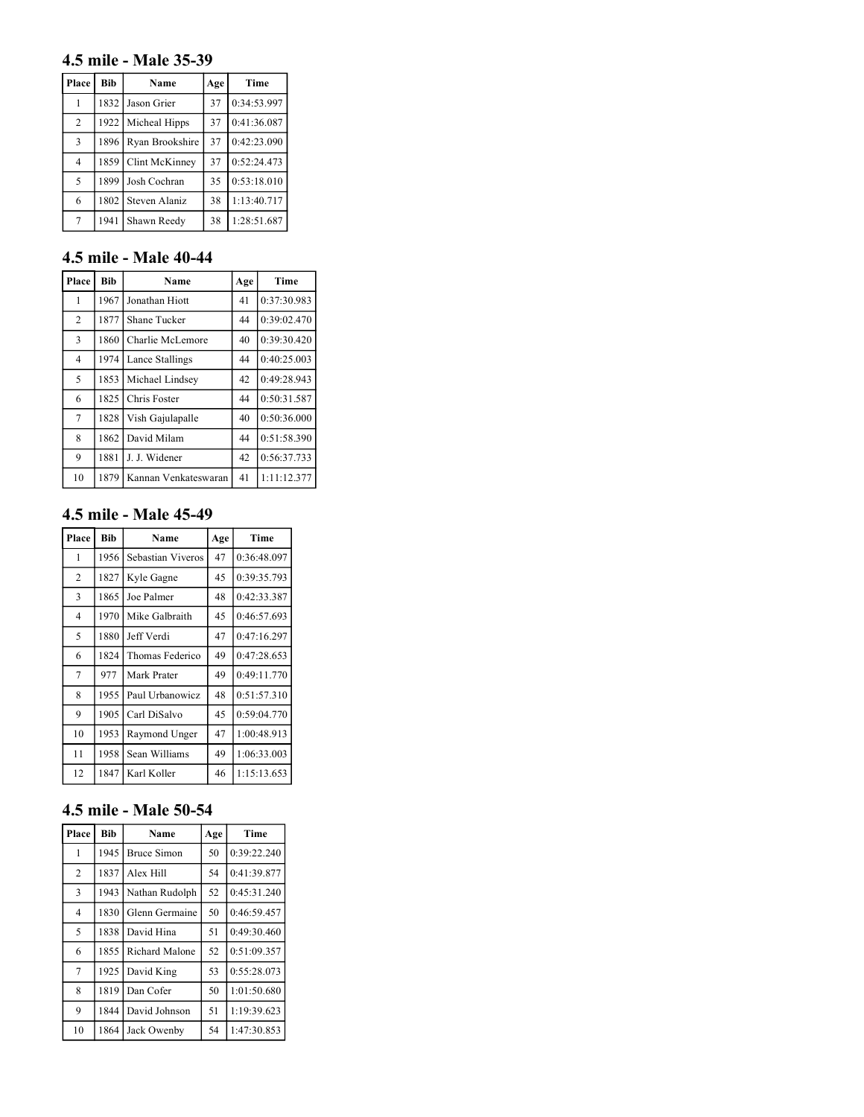### **4.5 mile - Male 35-39**

| Place          | <b>Bib</b> | Name            | Age | Time        |
|----------------|------------|-----------------|-----|-------------|
| 1              | 1832       | Jason Grier     | 37  | 0:34:53.997 |
| $\overline{2}$ | 1922       | Micheal Hipps   | 37  | 0:41:36.087 |
| 3              | 1896       | Ryan Brookshire | 37  | 0:42:23.090 |
| $\overline{4}$ | 1859       | Clint McKinney  | 37  | 0:52:24.473 |
| 5              | 1899       | Josh Cochran    | 35  | 0:53:18.010 |
| 6              | 1802       | Steven Alaniz   | 38  | 1:13:40.717 |
| 7              | 1941       | Shawn Reedy     | 38  | 1:28:51.687 |

## **4.5 mile - Male 40-44**

| Place          | <b>Bib</b> | Name                 | Age | Time        |
|----------------|------------|----------------------|-----|-------------|
| 1              | 1967       | Jonathan Hiott       | 41  | 0:37:30.983 |
| $\overline{2}$ | 1877       | Shane Tucker         | 44  | 0:39:02.470 |
| 3              | 1860       | Charlie McLemore     | 40  | 0:39:30.420 |
| $\overline{4}$ | 1974       | Lance Stallings      | 44  | 0:40:25.003 |
| 5              | 1853       | Michael Lindsey      | 42  | 0:49:28.943 |
| 6              | 1825       | Chris Foster         | 44  | 0:50:31.587 |
| 7              | 1828       | Vish Gajulapalle     | 40  | 0:50:36.000 |
| 8              | 1862       | David Milam          | 44  | 0:51:58.390 |
| 9              | 1881       | J. J. Widener        | 42  | 0:56:37.733 |
| 10             | 1879       | Kannan Venkateswaran | 41  | 1:11:12.377 |

## **4.5 mile - Male 45-49**

| Place          | <b>Bib</b> | Name              | Age | Time        |
|----------------|------------|-------------------|-----|-------------|
| 1              | 1956       | Sebastian Viveros | 47  | 0:36:48.097 |
| $\overline{2}$ | 1827       | Kyle Gagne        | 45  | 0:39:35.793 |
| 3              | 1865       | Joe Palmer        | 48  | 0:42:33.387 |
| $\overline{4}$ | 1970       | Mike Galbraith    | 45  | 0:46:57.693 |
| 5              | 1880       | Jeff Verdi        | 47  | 0:47:16.297 |
| 6              | 1824       | Thomas Federico   | 49  | 0:47:28.653 |
| 7              | 977        | Mark Prater       | 49  | 0:49:11.770 |
| 8              | 1955       | Paul Urbanowicz   | 48  | 0:51:57.310 |
| 9              | 1905       | Carl DiSalvo      | 45  | 0:59:04.770 |
| 10             | 1953       | Raymond Unger     | 47  | 1:00:48.913 |
| 11             | 1958       | Sean Williams     | 49  | 1:06:33.003 |
| 12             | 1847       | Karl Koller       | 46  | 1:15:13.653 |

# **4.5 mile - Male 50-54**

| Place          | <b>Bib</b> | Name               | Age | Time        |
|----------------|------------|--------------------|-----|-------------|
| 1              | 1945       | <b>Bruce Simon</b> | 50  | 0:39:22.240 |
| $\overline{2}$ | 1837       | Alex Hill          | 54  | 0:41:39.877 |
| 3              | 1943       | Nathan Rudolph     | 52  | 0:45:31.240 |
| 4              | 1830       | Glenn Germaine     | 50  | 0:46:59.457 |
| 5              | 1838       | David Hina         | 51  | 0:49:30.460 |
| 6              | 1855       | Richard Malone     | 52  | 0:51:09.357 |
| 7              | 1925       | David King         | 53  | 0:55:28.073 |
| 8              | 1819       | Dan Cofer          | 50  | 1:01:50.680 |
| 9              | 1844       | David Johnson      | 51  | 1:19:39.623 |
| 10             | 1864       | Jack Owenby        | 54  | 1:47:30.853 |